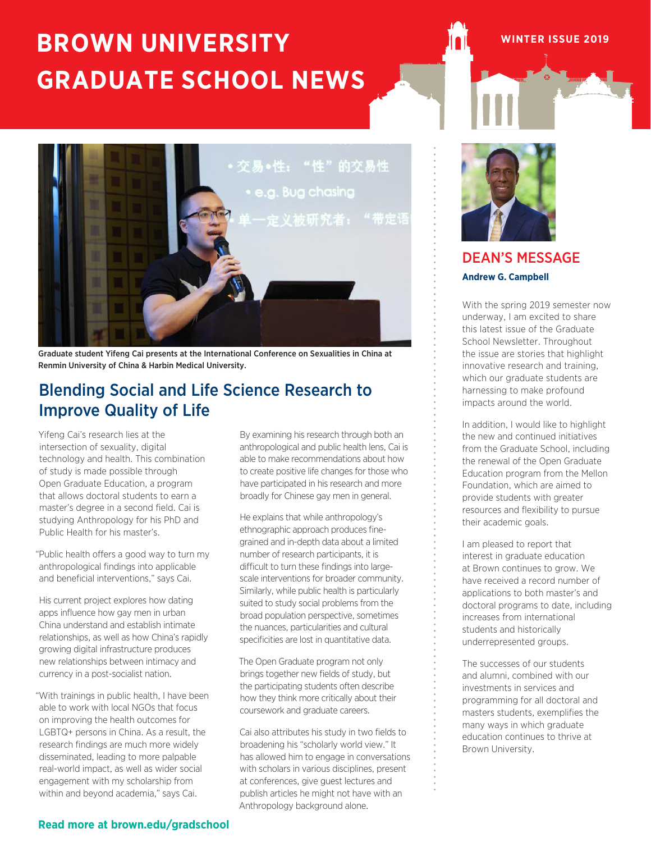## **BROWN UNIVERSITY GRADUATE SCHOOL NEWS**



Graduate student Yifeng Cai presents at the International Conference on Sexualities in China at Renmin University of China & Harbin Medical University.

## Blending Social and Life Science Research to Improve Quality of Life

Yifeng Cai's research lies at the intersection of sexuality, digital technology and health. This combination of study is made possible through Open Graduate Education, a program that allows doctoral students to earn a master's degree in a second field. Cai is studying Anthropology for his PhD and Public Health for his master's.

"Public health offers a good way to turn my anthropological findings into applicable and beneficial interventions," says Cai.

His current project explores how dating apps influence how gay men in urban China understand and establish intimate relationships, as well as how China's rapidly growing digital infrastructure produces new relationships between intimacy and currency in a post-socialist nation.

"With trainings in public health, I have been able to work with local NGOs that focus on improving the health outcomes for LGBTQ+ persons in China. As a result, the research findings are much more widely disseminated, leading to more palpable real-world impact, as well as wider social engagement with my scholarship from within and beyond academia," says Cai.

By examining his research through both an anthropological and public health lens, Cai is able to make recommendations about how to create positive life changes for those who have participated in his research and more broadly for Chinese gay men in general.

He explains that while anthropology's ethnographic approach produces finegrained and in-depth data about a limited number of research participants, it is difficult to turn these findings into largescale interventions for broader community. Similarly, while public health is particularly suited to study social problems from the broad population perspective, sometimes the nuances, particularities and cultural specificities are lost in quantitative data.

The Open Graduate program not only brings together new fields of study, but the participating students often describe how they think more critically about their coursework and graduate careers.

Cai also attributes his study in two fields to broadening his "scholarly world view." It has allowed him to engage in conversations with scholars in various disciplines, present at conferences, give guest lectures and publish articles he might not have with an Anthropology background alone.



**WINTER ISSUE 2019**

### DEAN'S MESSAGE **Andrew G. Campbell**

With the spring 2019 semester now underway, I am excited to share this latest issue of the Graduate School Newsletter. Throughout the issue are stories that highlight innovative research and training, which our graduate students are harnessing to make profound impacts around the world.

In addition, I would like to highlight the new and continued initiatives from the Graduate School, including the renewal of the Open Graduate Education program from the Mellon Foundation, which are aimed to provide students with greater resources and flexibility to pursue their academic goals.

I am pleased to report that interest in graduate education at Brown continues to grow. We have received a record number of applications to both master's and doctoral programs to date, including increases from international students and historically underrepresented groups.

The successes of our students and alumni, combined with our investments in services and programming for all doctoral and masters students, exemplifies the many ways in which graduate education continues to thrive at Brown University.

#### **Read more at brown.edu/gradschool**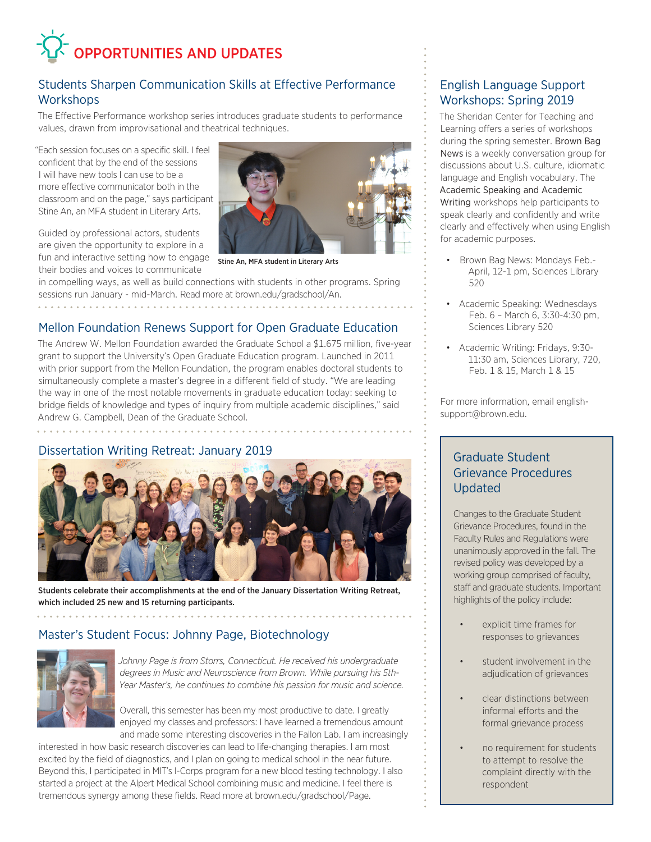# OPPORTUNITIES AND UPDATES

#### Students Sharpen Communication Skills at Effective Performance **Workshops**

The Effective Performance workshop series introduces graduate students to performance values, drawn from improvisational and theatrical techniques.

"Each session focuses on a specific skill. I feel confident that by the end of the sessions I will have new tools I can use to be a more effective communicator both in the classroom and on the page," says participant Stine An, an MFA student in Literary Arts.

Guided by professional actors, students are given the opportunity to explore in a fun and interactive setting how to engage their bodies and voices to communicate

. . . . . . . . . . . . . . . . . . . .



Stine An, MFA student in Literary Arts

in compelling ways, as well as build connections with students in other programs. Spring sessions run January - mid-March. Read more at brown.edu/gradschool/An.

#### Mellon Foundation Renews Support for Open Graduate Education

The Andrew W. Mellon Foundation awarded the Graduate School a \$1.675 million, five-year grant to support the University's Open Graduate Education program. Launched in 2011 with prior support from the Mellon Foundation, the program enables doctoral students to simultaneously complete a master's degree in a different field of study. "We are leading the way in one of the most notable movements in graduate education today: seeking to bridge fields of knowledge and types of inquiry from multiple academic disciplines," said Andrew G. Campbell, Dean of the Graduate School.

#### Dissertation Writing Retreat: January 2019



Students celebrate their accomplishments at the end of the January Dissertation Writing Retreat, which included 25 new and 15 returning participants.

#### Master's Student Focus: Johnny Page, Biotechnology



*Johnny Page is from Storrs, Connecticut. He received his undergraduate degrees in Music and Neuroscience from Brown. While pursuing his 5th-Year Master's, he continues to combine his passion for music and science.*

Overall, this semester has been my most productive to date. I greatly enjoyed my classes and professors: I have learned a tremendous amount and made some interesting discoveries in the Fallon Lab. I am increasingly

interested in how basic research discoveries can lead to life-changing therapies. I am most excited by the field of diagnostics, and I plan on going to medical school in the near future. Beyond this, I participated in MIT's I-Corps program for a new blood testing technology. I also started a project at the Alpert Medical School combining music and medicine. I feel there is tremendous synergy among these fields. Read more at brown.edu/gradschool/Page.

#### English Language Support Workshops: Spring 2019

The Sheridan Center for Teaching and Learning offers a series of workshops during the spring semester. Brown Bag News is a weekly conversation group for discussions about U.S. culture, idiomatic language and English vocabulary. The Academic Speaking and Academic Writing workshops help participants to speak clearly and confidently and write clearly and effectively when using English for academic purposes.

- Brown Bag News: Mondays Feb.- April, 12-1 pm, Sciences Library 520
- Academic Speaking: Wednesdays Feb. 6 – March 6, 3:30-4:30 pm, Sciences Library 520
- Academic Writing: Fridays, 9:30- 11:30 am, Sciences Library, 720, Feb. 1 & 15, March 1 & 15

For more information, email englishsupport@brown.edu.

#### Graduate Student Grievance Procedures Updated

Changes to the Graduate Student Grievance Procedures, found in the Faculty Rules and Regulations were unanimously approved in the fall. The revised policy was developed by a working group comprised of faculty, staff and graduate students. Important highlights of the policy include:

- explicit time frames for responses to grievances
- student involvement in the adjudication of grievances
- clear distinctions between informal efforts and the formal grievance process
- no requirement for students to attempt to resolve the complaint directly with the respondent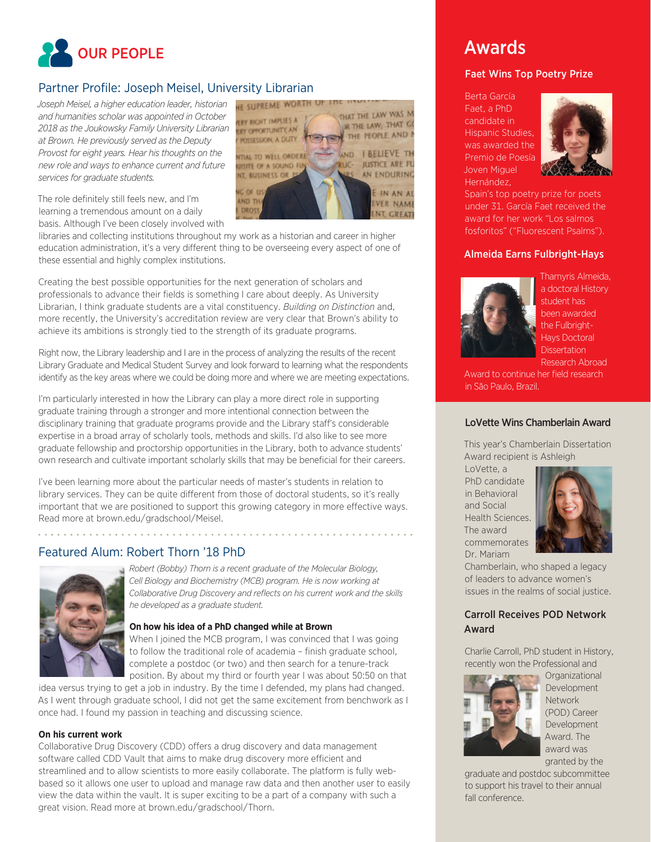

#### Partner Profile: Joseph Meisel, University Librarian

*Joseph Meisel, a higher education leader, historian and humanities scholar was appointed in October 2018 as the Joukowsky Family University Librarian at Brown. He previously served as the Deputy Provost for eight years. Hear his thoughts on the new role and ways to enhance current and future services for graduate students.*



The role definitely still feels new, and I'm learning a tremendous amount on a daily basis. Although I've been closely involved with

libraries and collecting institutions throughout my work as a historian and career in higher education administration, it's a very different thing to be overseeing every aspect of one of these essential and highly complex institutions.

Creating the best possible opportunities for the next generation of scholars and professionals to advance their fields is something I care about deeply. As University Librarian, I think graduate students are a vital constituency. *Building on Distinction* and, more recently, the University's accreditation review are very clear that Brown's ability to achieve its ambitions is strongly tied to the strength of its graduate programs.

Right now, the Library leadership and I are in the process of analyzing the results of the recent Library Graduate and Medical Student Survey and look forward to learning what the respondents identify as the key areas where we could be doing more and where we are meeting expectations.

I'm particularly interested in how the Library can play a more direct role in supporting graduate training through a stronger and more intentional connection between the disciplinary training that graduate programs provide and the Library staff's considerable expertise in a broad array of scholarly tools, methods and skills. I'd also like to see more graduate fellowship and proctorship opportunities in the Library, both to advance students' own research and cultivate important scholarly skills that may be beneficial for their careers.

I've been learning more about the particular needs of master's students in relation to library services. They can be quite different from those of doctoral students, so it's really important that we are positioned to support this growing category in more effective ways. Read more at brown.edu/gradschool/Meisel.

#### Featured Alum: Robert Thorn '18 PhD



*Robert (Bobby) Thorn is a recent graduate of the Molecular Biology, Cell Biology and Biochemistry (MCB) program. He is now working at Collaborative Drug Discovery and reflects on his current work and the skills he developed as a graduate student.*

#### **On how his idea of a PhD changed while at Brown**

When I joined the MCB program, I was convinced that I was going to follow the traditional role of academia – finish graduate school, complete a postdoc (or two) and then search for a tenure-track

position. By about my third or fourth year I was about 50:50 on that idea versus trying to get a job in industry. By the time I defended, my plans had changed. As I went through graduate school, I did not get the same excitement from benchwork as I

once had. I found my passion in teaching and discussing science.

#### **On his current work**

Collaborative Drug Discovery (CDD) offers a drug discovery and data management software called CDD Vault that aims to make drug discovery more efficient and streamlined and to allow scientists to more easily collaborate. The platform is fully webbased so it allows one user to upload and manage raw data and then another user to easily view the data within the vault. It is super exciting to be a part of a company with such a great vision. Read more at brown.edu/gradschool/Thorn.

## Awards

#### Faet Wins Top Poetry Prize

Berta García Faet, a PhD candidate in Hispanic Studies, was awarded the Premio de Poesía Joven Miguel Hernández,



Spain's top poetry prize for poets under 31. García Faet received the award for her work "Los salmos fosforitos" ("Fluorescent Psalms").

#### Almeida Earns Fulbright-Hays



Thamyris Almeida, a doctoral History student has been awarded the Fulbright-Hays Doctoral **Dissertation** Research Abroad

Award to continue her field research in São Paulo, Brazil.

#### LoVette Wins Chamberlain Award

This year's Chamberlain Dissertation Award recipient is Ashleigh

LoVette, a PhD candidate in Behavioral and Social Health Sciences. The award commemorates Dr. Mariam



Chamberlain, who shaped a legacy of leaders to advance women's issues in the realms of social justice.

#### Carroll Receives POD Network Award

Charlie Carroll, PhD student in History, recently won the Professional and



**Organizational** Development Network (POD) Career Development Award. The award was granted by the

graduate and postdoc subcommittee to support his travel to their annual fall conference.